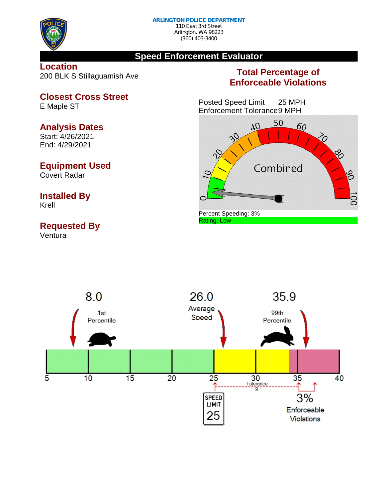

(360) 403-3400

## **Speed Enforcement Evaluator**

**Location** 200 BLK S Stillaguamish Ave

# **Closest Cross Street** E Maple ST

# **Analysis Dates**

Start: 4/26/2021 End: 4/29/2021

# **Equipment Used**

Covert Radar

# **Installed By**

Krell

# **Requested By**

Ventura

# **Total Percentage of Enforceable Violations**

Posted Speed Limit 25 MPH Enforcement Tolerance9 MPH